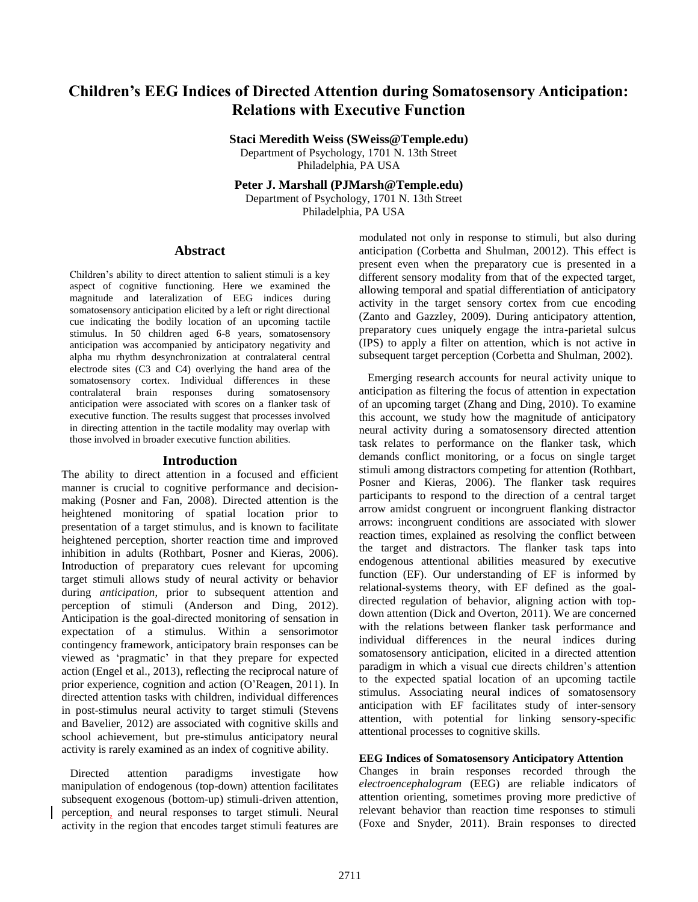# **Children's EEG Indices of Directed Attention during Somatosensory Anticipation: Relations with Executive Function**

**Staci Meredith Weiss (SWeiss@Temple.edu)** Department of Psychology, 1701 N. 13th Street

Philadelphia, PA USA

**Peter J. Marshall (PJMarsh@Temple.edu)**

Department of Psychology, 1701 N. 13th Street Philadelphia, PA USA

# **Abstract**

Children's ability to direct attention to salient stimuli is a key aspect of cognitive functioning. Here we examined the magnitude and lateralization of EEG indices during somatosensory anticipation elicited by a left or right directional cue indicating the bodily location of an upcoming tactile stimulus. In 50 children aged 6-8 years, somatosensory anticipation was accompanied by anticipatory negativity and alpha mu rhythm desynchronization at contralateral central electrode sites (C3 and C4) overlying the hand area of the somatosensory cortex. Individual differences in these contralateral brain responses during somatosensory anticipation were associated with scores on a flanker task of executive function. The results suggest that processes involved in directing attention in the tactile modality may overlap with those involved in broader executive function abilities.

#### **Introduction**

The ability to direct attention in a focused and efficient manner is crucial to cognitive performance and decisionmaking (Posner and Fan, 2008). Directed attention is the heightened monitoring of spatial location prior to presentation of a target stimulus, and is known to facilitate heightened perception, shorter reaction time and improved inhibition in adults (Rothbart, Posner and Kieras, 2006). Introduction of preparatory cues relevant for upcoming target stimuli allows study of neural activity or behavior during *anticipation*, prior to subsequent attention and perception of stimuli (Anderson and Ding, 2012). Anticipation is the goal-directed monitoring of sensation in expectation of a stimulus. Within a sensorimotor contingency framework, anticipatory brain responses can be viewed as 'pragmatic' in that they prepare for expected action (Engel et al., 2013), reflecting the reciprocal nature of prior experience, cognition and action (O'Reagen, 2011). In directed attention tasks with children, individual differences in post-stimulus neural activity to target stimuli (Stevens and Bavelier, 2012) are associated with cognitive skills and school achievement, but pre-stimulus anticipatory neural activity is rarely examined as an index of cognitive ability.

 Directed attention paradigms investigate how manipulation of endogenous (top-down) attention facilitates subsequent exogenous (bottom-up) stimuli-driven attention, perception, and neural responses to target stimuli. Neural activity in the region that encodes target stimuli features are modulated not only in response to stimuli, but also during anticipation (Corbetta and Shulman, 20012). This effect is present even when the preparatory cue is presented in a different sensory modality from that of the expected target, allowing temporal and spatial differentiation of anticipatory activity in the target sensory cortex from cue encoding (Zanto and Gazzley, 2009). During anticipatory attention, preparatory cues uniquely engage the intra-parietal sulcus (IPS) to apply a filter on attention, which is not active in subsequent target perception (Corbetta and Shulman, 2002).

 Emerging research accounts for neural activity unique to anticipation as filtering the focus of attention in expectation of an upcoming target (Zhang and Ding, 2010). To examine this account, we study how the magnitude of anticipatory neural activity during a somatosensory directed attention task relates to performance on the flanker task, which demands conflict monitoring, or a focus on single target stimuli among distractors competing for attention (Rothbart, Posner and Kieras, 2006). The flanker task requires participants to respond to the direction of a central target arrow amidst congruent or incongruent flanking distractor arrows: incongruent conditions are associated with slower reaction times, explained as resolving the conflict between the target and distractors. The flanker task taps into endogenous attentional abilities measured by executive function (EF). Our understanding of EF is informed by relational-systems theory, with EF defined as the goaldirected regulation of behavior, aligning action with topdown attention (Dick and Overton, 2011). We are concerned with the relations between flanker task performance and individual differences in the neural indices during somatosensory anticipation, elicited in a directed attention paradigm in which a visual cue directs children's attention to the expected spatial location of an upcoming tactile stimulus. Associating neural indices of somatosensory anticipation with EF facilitates study of inter-sensory attention, with potential for linking sensory-specific attentional processes to cognitive skills.

#### **EEG Indices of Somatosensory Anticipatory Attention**

Changes in brain responses recorded through the *electroencephalogram* (EEG) are reliable indicators of attention orienting, sometimes proving more predictive of relevant behavior than reaction time responses to stimuli (Foxe and Snyder, 2011). Brain responses to directed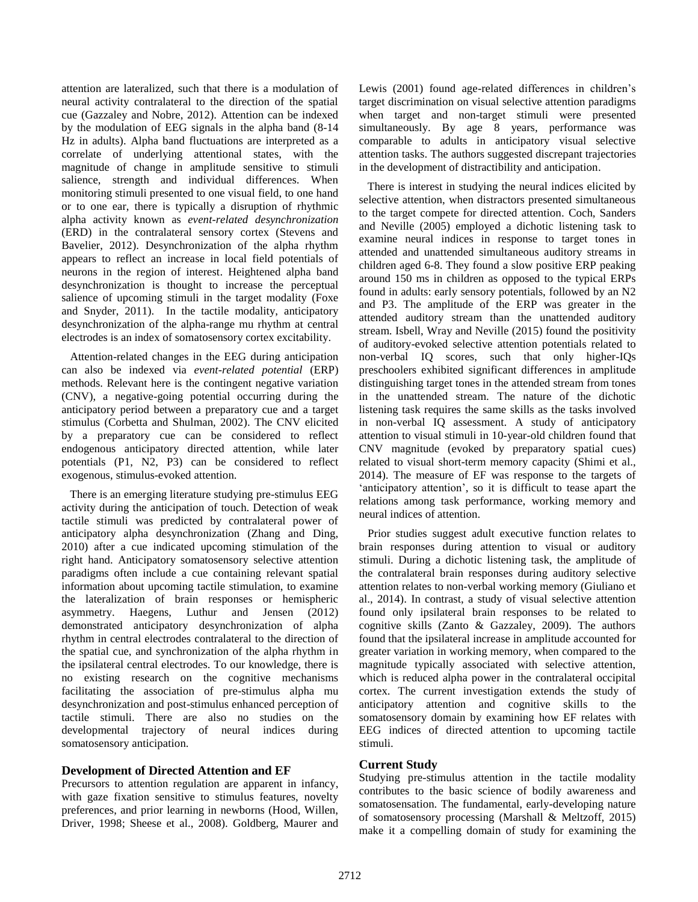attention are lateralized, such that there is a modulation of neural activity contralateral to the direction of the spatial cue (Gazzaley and Nobre, 2012). Attention can be indexed by the modulation of EEG signals in the alpha band (8-14 Hz in adults). Alpha band fluctuations are interpreted as a correlate of underlying attentional states, with the magnitude of change in amplitude sensitive to stimuli salience, strength and individual differences. When monitoring stimuli presented to one visual field, to one hand or to one ear, there is typically a disruption of rhythmic alpha activity known as *event-related desynchronization* (ERD) in the contralateral sensory cortex (Stevens and Bavelier, 2012). Desynchronization of the alpha rhythm appears to reflect an increase in local field potentials of neurons in the region of interest. Heightened alpha band desynchronization is thought to increase the perceptual salience of upcoming stimuli in the target modality (Foxe and Snyder, 2011). In the tactile modality, anticipatory desynchronization of the alpha-range mu rhythm at central electrodes is an index of somatosensory cortex excitability.

 Attention-related changes in the EEG during anticipation can also be indexed via *event-related potential* (ERP) methods. Relevant here is the contingent negative variation (CNV), a negative-going potential occurring during the anticipatory period between a preparatory cue and a target stimulus (Corbetta and Shulman, 2002). The CNV elicited by a preparatory cue can be considered to reflect endogenous anticipatory directed attention, while later potentials (P1, N2, P3) can be considered to reflect exogenous, stimulus-evoked attention.

 There is an emerging literature studying pre-stimulus EEG activity during the anticipation of touch. Detection of weak tactile stimuli was predicted by contralateral power of anticipatory alpha desynchronization (Zhang and Ding, 2010) after a cue indicated upcoming stimulation of the right hand. Anticipatory somatosensory selective attention paradigms often include a cue containing relevant spatial information about upcoming tactile stimulation, to examine the lateralization of brain responses or hemispheric asymmetry. Haegens, Luthur and Jensen (2012) demonstrated anticipatory desynchronization of alpha rhythm in central electrodes contralateral to the direction of the spatial cue, and synchronization of the alpha rhythm in the ipsilateral central electrodes. To our knowledge, there is no existing research on the cognitive mechanisms facilitating the association of pre-stimulus alpha mu desynchronization and post-stimulus enhanced perception of tactile stimuli. There are also no studies on the developmental trajectory of neural indices during somatosensory anticipation.

## **Development of Directed Attention and EF**

Precursors to attention regulation are apparent in infancy, with gaze fixation sensitive to stimulus features, novelty preferences, and prior learning in newborns (Hood, Willen, Driver, 1998; Sheese et al., 2008). Goldberg, Maurer and Lewis (2001) found age-related differences in children's target discrimination on visual selective attention paradigms when target and non-target stimuli were presented simultaneously. By age 8 years, performance was comparable to adults in anticipatory visual selective attention tasks. The authors suggested discrepant trajectories in the development of distractibility and anticipation.

 There is interest in studying the neural indices elicited by selective attention, when distractors presented simultaneous to the target compete for directed attention. Coch, Sanders and Neville (2005) employed a dichotic listening task to examine neural indices in response to target tones in attended and unattended simultaneous auditory streams in children aged 6-8. They found a slow positive ERP peaking around 150 ms in children as opposed to the typical ERPs found in adults: early sensory potentials, followed by an N2 and P3. The amplitude of the ERP was greater in the attended auditory stream than the unattended auditory stream. Isbell, Wray and Neville (2015) found the positivity of auditory-evoked selective attention potentials related to non-verbal IQ scores, such that only higher-IQs preschoolers exhibited significant differences in amplitude distinguishing target tones in the attended stream from tones in the unattended stream. The nature of the dichotic listening task requires the same skills as the tasks involved in non-verbal IQ assessment. A study of anticipatory attention to visual stimuli in 10-year-old children found that CNV magnitude (evoked by preparatory spatial cues) related to visual short-term memory capacity (Shimi et al., 2014). The measure of EF was response to the targets of 'anticipatory attention', so it is difficult to tease apart the relations among task performance, working memory and neural indices of attention.

 Prior studies suggest adult executive function relates to brain responses during attention to visual or auditory stimuli. During a dichotic listening task, the amplitude of the contralateral brain responses during auditory selective attention relates to non-verbal working memory (Giuliano et al., 2014). In contrast, a study of visual selective attention found only ipsilateral brain responses to be related to cognitive skills (Zanto & Gazzaley, 2009). The authors found that the ipsilateral increase in amplitude accounted for greater variation in working memory, when compared to the magnitude typically associated with selective attention, which is reduced alpha power in the contralateral occipital cortex. The current investigation extends the study of anticipatory attention and cognitive skills to the somatosensory domain by examining how EF relates with EEG indices of directed attention to upcoming tactile stimuli.

# **Current Study**

Studying pre-stimulus attention in the tactile modality contributes to the basic science of bodily awareness and somatosensation. The fundamental, early-developing nature of somatosensory processing (Marshall & Meltzoff, 2015) make it a compelling domain of study for examining the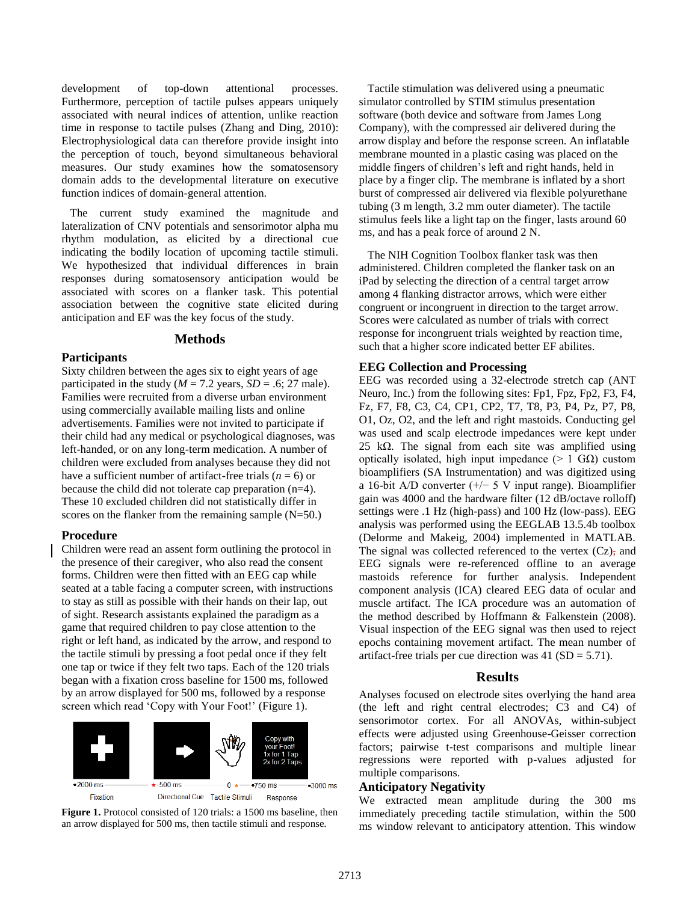development of top-down attentional processes. Furthermore, perception of tactile pulses appears uniquely associated with neural indices of attention, unlike reaction time in response to tactile pulses (Zhang and Ding, 2010): Electrophysiological data can therefore provide insight into the perception of touch, beyond simultaneous behavioral measures. Our study examines how the somatosensory domain adds to the developmental literature on executive function indices of domain-general attention.

 The current study examined the magnitude and lateralization of CNV potentials and sensorimotor alpha mu rhythm modulation, as elicited by a directional cue indicating the bodily location of upcoming tactile stimuli. We hypothesized that individual differences in brain responses during somatosensory anticipation would be associated with scores on a flanker task. This potential association between the cognitive state elicited during anticipation and EF was the key focus of the study.

#### **Methods**

#### **Participants**

Sixty children between the ages six to eight years of age participated in the study ( $M = 7.2$  years,  $SD = .6$ ; 27 male). Families were recruited from a diverse urban environment using commercially available mailing lists and online advertisements. Families were not invited to participate if their child had any medical or psychological diagnoses, was left-handed, or on any long-term medication. A number of children were excluded from analyses because they did not have a sufficient number of artifact-free trials  $(n = 6)$  or because the child did not tolerate cap preparation (n=4). These 10 excluded children did not statistically differ in scores on the flanker from the remaining sample  $(N=50)$ .

#### **Procedure**

Children were read an assent form outlining the protocol in the presence of their caregiver, who also read the consent forms. Children were then fitted with an EEG cap while seated at a table facing a computer screen, with instructions to stay as still as possible with their hands on their lap, out of sight. Research assistants explained the paradigm as a game that required children to pay close attention to the right or left hand, as indicated by the arrow, and respond to the tactile stimuli by pressing a foot pedal once if they felt one tap or twice if they felt two taps. Each of the 120 trials began with a fixation cross baseline for 1500 ms, followed by an arrow displayed for 500 ms, followed by a response screen which read 'Copy with Your Foot!' (Figure 1).





 Tactile stimulation was delivered using a pneumatic simulator controlled by STIM stimulus presentation software (both device and software from James Long Company), with the compressed air delivered during the arrow display and before the response screen. An inflatable membrane mounted in a plastic casing was placed on the middle fingers of children's left and right hands, held in place by a finger clip. The membrane is inflated by a short burst of compressed air delivered via flexible polyurethane tubing (3 m length, 3.2 mm outer diameter). The tactile stimulus feels like a light tap on the finger, lasts around 60 ms, and has a peak force of around 2 N.

 The NIH Cognition Toolbox flanker task was then administered. Children completed the flanker task on an iPad by selecting the direction of a central target arrow among 4 flanking distractor arrows, which were either congruent or incongruent in direction to the target arrow. Scores were calculated as number of trials with correct response for incongruent trials weighted by reaction time, such that a higher score indicated better EF abilites.

#### **EEG Collection and Processing**

EEG was recorded using a 32-electrode stretch cap (ANT Neuro, Inc.) from the following sites: Fp1, Fpz, Fp2, F3, F4, Fz, F7, F8, C3, C4, CP1, CP2, T7, T8, P3, P4, Pz, P7, P8, O1, Oz, O2, and the left and right mastoids. Conducting gel was used and scalp electrode impedances were kept under 25 k $\Omega$ . The signal from each site was amplified using optically isolated, high input impedance (> 1 GΩ) custom bioamplifiers (SA Instrumentation) and was digitized using a 16-bit A/D converter (+/− 5 V input range). Bioamplifier gain was 4000 and the hardware filter (12 dB/octave rolloff) settings were .1 Hz (high-pass) and 100 Hz (low-pass). EEG analysis was performed using the EEGLAB 13.5.4b toolbox (Delorme and Makeig, 2004) implemented in MATLAB. The signal was collected referenced to the vertex  $(Cz)$ , and EEG signals were re-referenced offline to an average mastoids reference for further analysis. Independent component analysis (ICA) cleared EEG data of ocular and muscle artifact. The ICA procedure was an automation of the method described by Hoffmann & Falkenstein (2008). Visual inspection of the EEG signal was then used to reject epochs containing movement artifact. The mean number of artifact-free trials per cue direction was  $41$  (SD = 5.71).

#### **Results**

Analyses focused on electrode sites overlying the hand area (the left and right central electrodes; C3 and C4) of sensorimotor cortex. For all ANOVAs, within-subject effects were adjusted using Greenhouse-Geisser correction factors; pairwise t-test comparisons and multiple linear regressions were reported with p-values adjusted for multiple comparisons.

#### **Anticipatory Negativity**

We extracted mean amplitude during the 300 ms immediately preceding tactile stimulation, within the 500 ms window relevant to anticipatory attention. This window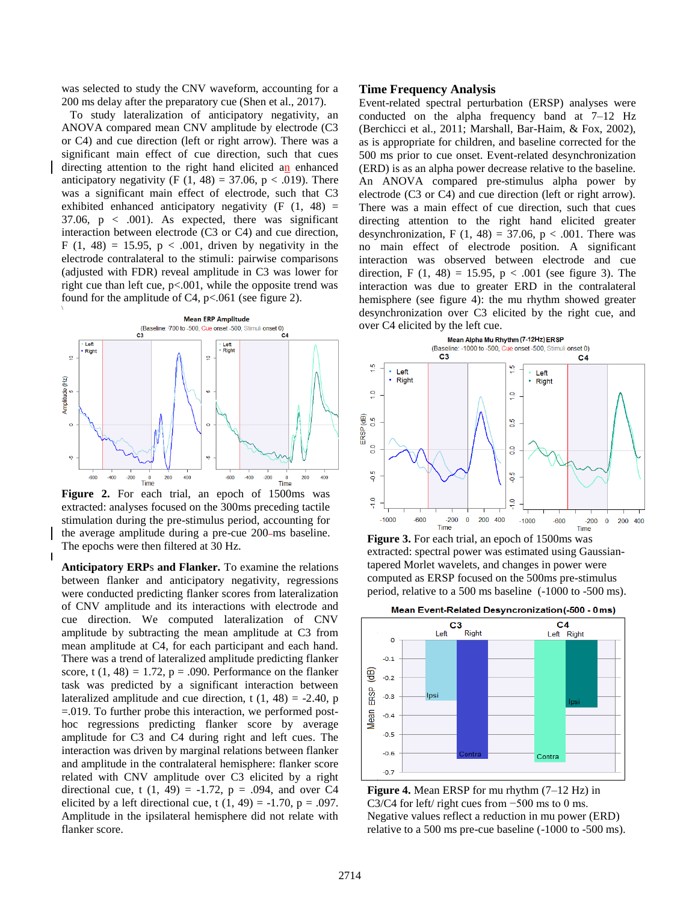was selected to study the CNV waveform, accounting for a 200 ms delay after the preparatory cue (Shen et al., 2017).

 To study lateralization of anticipatory negativity, an ANOVA compared mean CNV amplitude by electrode (C3 or C4) and cue direction (left or right arrow). There was a significant main effect of cue direction, such that cues directing attention to the right hand elicited an enhanced anticipatory negativity (F  $(1, 48) = 37.06$ , p < .019). There was a significant main effect of electrode, such that C3 exhibited enhanced anticipatory negativity  $(F (1, 48)) =$ 37.06,  $p \, < \, .001$ ). As expected, there was significant interaction between electrode (C3 or C4) and cue direction, F (1, 48) = 15.95,  $p < .001$ , driven by negativity in the electrode contralateral to the stimuli: pairwise comparisons (adjusted with FDR) reveal amplitude in C3 was lower for right cue than left cue,  $p<.001$ , while the opposite trend was found for the amplitude of C4,  $p<.061$  (see figure 2).



**Figure 2.** For each trial, an epoch of 1500ms was extracted: analyses focused on the 300ms preceding tactile stimulation during the pre-stimulus period, accounting for the average amplitude during a pre-cue 200-ms baseline. The epochs were then filtered at 30 Hz.

**Anticipatory ERP**s **and Flanker.** To examine the relations between flanker and anticipatory negativity, regressions were conducted predicting flanker scores from lateralization of CNV amplitude and its interactions with electrode and cue direction. We computed lateralization of CNV amplitude by subtracting the mean amplitude at C3 from mean amplitude at C4, for each participant and each hand. There was a trend of lateralized amplitude predicting flanker score, t  $(1, 48) = 1.72$ ,  $p = .090$ . Performance on the flanker task was predicted by a significant interaction between lateralized amplitude and cue direction, t  $(1, 48) = -2.40$ , p =.019. To further probe this interaction, we performed posthoc regressions predicting flanker score by average amplitude for C3 and C4 during right and left cues. The interaction was driven by marginal relations between flanker and amplitude in the contralateral hemisphere: flanker score related with CNV amplitude over C3 elicited by a right directional cue, t  $(1, 49) = -1.72$ ,  $p = .094$ , and over C4 elicited by a left directional cue, t  $(1, 49) = -1.70$ , p = .097. Amplitude in the ipsilateral hemisphere did not relate with flanker score.

#### **Time Frequency Analysis**

Event-related spectral perturbation (ERSP) analyses were conducted on the alpha frequency band at 7–12 Hz (Berchicci et al., 2011; Marshall, Bar-Haim, & Fox, 2002), as is appropriate for children, and baseline corrected for the 500 ms prior to cue onset. Event-related desynchronization (ERD) is as an alpha power decrease relative to the baseline. An ANOVA compared pre-stimulus alpha power by electrode (C3 or C4) and cue direction (left or right arrow). There was a main effect of cue direction, such that cues directing attention to the right hand elicited greater desynchronization, F  $(1, 48) = 37.06$ , p < .001. There was no main effect of electrode position. A significant interaction was observed between electrode and cue direction, F  $(1, 48) = 15.95$ , p < .001 (see figure 3). The interaction was due to greater ERD in the contralateral hemisphere (see figure 4): the mu rhythm showed greater desynchronization over C3 elicited by the right cue, and over C4 elicited by the left cue.



**Figure 3.** For each trial, an epoch of 1500ms was extracted: spectral power was estimated using Gaussiantapered Morlet wavelets, and changes in power were computed as ERSP focused on the 500ms pre-stimulus period, relative to a 500 ms baseline (-1000 to -500 ms).



**Figure 4.** Mean ERSP for mu rhythm (7–12 Hz) in C3/C4 for left/ right cues from −500 ms to 0 ms. Negative values reflect a reduction in mu power (ERD) relative to a 500 ms pre-cue baseline (-1000 to -500 ms).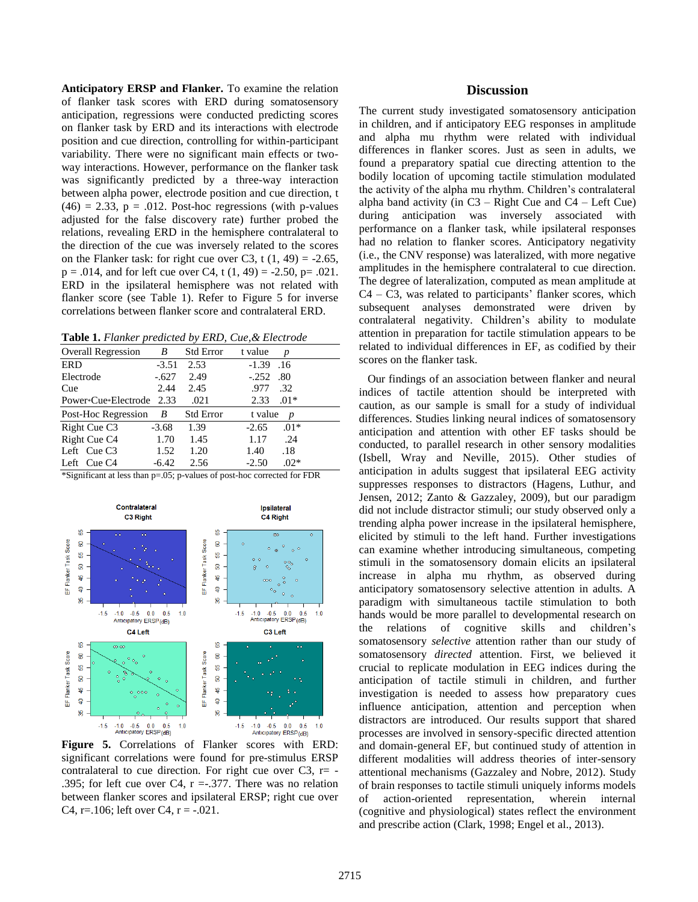**Anticipatory ERSP and Flanker.** To examine the relation of flanker task scores with ERD during somatosensory anticipation, regressions were conducted predicting scores on flanker task by ERD and its interactions with electrode position and cue direction, controlling for within-participant variability. There were no significant main effects or twoway interactions. However, performance on the flanker task was significantly predicted by a three-way interaction between alpha power, electrode position and cue direction, t  $(46) = 2.33$ ,  $p = .012$ . Post-hoc regressions (with p-values adjusted for the false discovery rate) further probed the relations, revealing ERD in the hemisphere contralateral to the direction of the cue was inversely related to the scores on the Flanker task: for right cue over C3, t  $(1, 49) = -2.65$ ,  $p = .014$ , and for left cue over C4, t  $(1, 49) = -2.50$ ,  $p = .021$ . ERD in the ipsilateral hemisphere was not related with flanker score (see Table 1). Refer to Figure 5 for inverse correlations between flanker score and contralateral ERD.

**Table 1.** *Flanker predicted by ERD, Cue,& Electrode*

| <b>Overall Regression</b> | B       | <b>Std Error</b> | t value<br>p      |
|---------------------------|---------|------------------|-------------------|
| <b>ERD</b>                | $-3.51$ | 2.53             | $-1.39$<br>.16    |
| Electrode                 | $-.627$ | 2.49             | $-.252$<br>.80    |
| Cue                       | 2.44    | 2.45             | .977<br>.32       |
| Power*Cue*Electrode       | 2.33    | .021             | 2.33<br>$.01*$    |
| Post-Hoc Regression       | B       | <b>Std Error</b> | t value<br>p      |
| Right Cue C <sub>3</sub>  | $-3.68$ | 1.39             | $.01*$<br>$-2.65$ |
| Right Cue C <sub>4</sub>  | 1.70    | 1.45             | .24<br>1.17       |
| Left Cue C3               | 1.52    | 1.20             | .18<br>1.40       |
| Left Cue C4               | $-6.42$ | 2.56             | $.02*$<br>$-2.50$ |

\*Significant at less than p=.05; p-values of post-hoc corrected for FDR



**Figure 5.** Correlations of Flanker scores with ERD: significant correlations were found for pre-stimulus ERSP contralateral to cue direction. For right cue over C3,  $r=$  -.395; for left cue over C4,  $r = .377$ . There was no relation between flanker scores and ipsilateral ERSP; right cue over C4, r= $.106$ ; left over C4, r =  $-.021$ .

# **Discussion**

The current study investigated somatosensory anticipation in children, and if anticipatory EEG responses in amplitude and alpha mu rhythm were related with individual differences in flanker scores. Just as seen in adults, we found a preparatory spatial cue directing attention to the bodily location of upcoming tactile stimulation modulated the activity of the alpha mu rhythm. Children's contralateral alpha band activity (in  $C3 - Right$  Cue and  $C4 - Left$  Cue) during anticipation was inversely associated with performance on a flanker task, while ipsilateral responses had no relation to flanker scores. Anticipatory negativity (i.e., the CNV response) was lateralized, with more negative amplitudes in the hemisphere contralateral to cue direction. The degree of lateralization, computed as mean amplitude at C4 – C3, was related to participants' flanker scores, which subsequent analyses demonstrated were driven by contralateral negativity. Children's ability to modulate attention in preparation for tactile stimulation appears to be related to individual differences in EF, as codified by their scores on the flanker task.

 Our findings of an association between flanker and neural indices of tactile attention should be interpreted with caution, as our sample is small for a study of individual differences. Studies linking neural indices of somatosensory anticipation and attention with other EF tasks should be conducted, to parallel research in other sensory modalities (Isbell, Wray and Neville, 2015). Other studies of anticipation in adults suggest that ipsilateral EEG activity suppresses responses to distractors (Hagens, Luthur, and Jensen, 2012; Zanto & Gazzaley, 2009), but our paradigm did not include distractor stimuli; our study observed only a trending alpha power increase in the ipsilateral hemisphere, elicited by stimuli to the left hand. Further investigations can examine whether introducing simultaneous, competing stimuli in the somatosensory domain elicits an ipsilateral increase in alpha mu rhythm, as observed during anticipatory somatosensory selective attention in adults. A paradigm with simultaneous tactile stimulation to both hands would be more parallel to developmental research on the relations of cognitive skills and children's somatosensory *selective* attention rather than our study of somatosensory *directed* attention. First, we believed it crucial to replicate modulation in EEG indices during the anticipation of tactile stimuli in children, and further investigation is needed to assess how preparatory cues influence anticipation, attention and perception when distractors are introduced. Our results support that shared processes are involved in sensory-specific directed attention and domain-general EF, but continued study of attention in different modalities will address theories of inter-sensory attentional mechanisms (Gazzaley and Nobre, 2012). Study of brain responses to tactile stimuli uniquely informs models of action-oriented representation, wherein internal (cognitive and physiological) states reflect the environment and prescribe action (Clark, 1998; Engel et al., 2013).